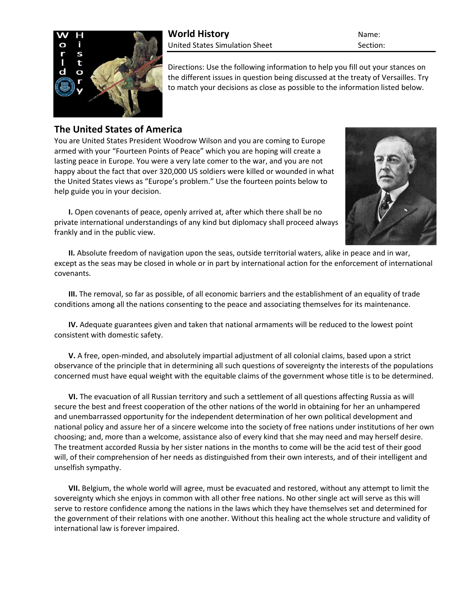

**World History** Name: United States Simulation Sheet Section:

Directions: Use the following information to help you fill out your stances on the different issues in question being discussed at the treaty of Versailles. Try to match your decisions as close as possible to the information listed below.

## **The United States of America**

You are United States President Woodrow Wilson and you are coming to Europe armed with your "Fourteen Points of Peace" which you are hoping will create a lasting peace in Europe. You were a very late comer to the war, and you are not happy about the fact that over 320,000 US soldiers were killed or wounded in what the United States views as "Europe's problem." Use the fourteen points below to help guide you in your decision.

**I.** Open covenants of peace, openly arrived at, after which there shall be no private international understandings of any kind but diplomacy shall proceed always frankly and in the public view.



**II.** Absolute freedom of navigation upon the seas, outside territorial waters, alike in peace and in war, except as the seas may be closed in whole or in part by international action for the enforcement of international covenants.

**III.** The removal, so far as possible, of all economic barriers and the establishment of an equality of trade conditions among all the nations consenting to the peace and associating themselves for its maintenance.

**IV.** Adequate guarantees given and taken that national armaments will be reduced to the lowest point consistent with domestic safety.

**V.** A free, open-minded, and absolutely impartial adjustment of all colonial claims, based upon a strict observance of the principle that in determining all such questions of sovereignty the interests of the populations concerned must have equal weight with the equitable claims of the government whose title is to be determined.

**VI.** The evacuation of all Russian territory and such a settlement of all questions affecting Russia as will secure the best and freest cooperation of the other nations of the world in obtaining for her an unhampered and unembarrassed opportunity for the independent determination of her own political development and national policy and assure her of a sincere welcome into the society of free nations under institutions of her own choosing; and, more than a welcome, assistance also of every kind that she may need and may herself desire. The treatment accorded Russia by her sister nations in the months to come will be the acid test of their good will, of their comprehension of her needs as distinguished from their own interests, and of their intelligent and unselfish sympathy.

**VII.** Belgium, the whole world will agree, must be evacuated and restored, without any attempt to limit the sovereignty which she enjoys in common with all other free nations. No other single act will serve as this will serve to restore confidence among the nations in the laws which they have themselves set and determined for the government of their relations with one another. Without this healing act the whole structure and validity of international law is forever impaired.